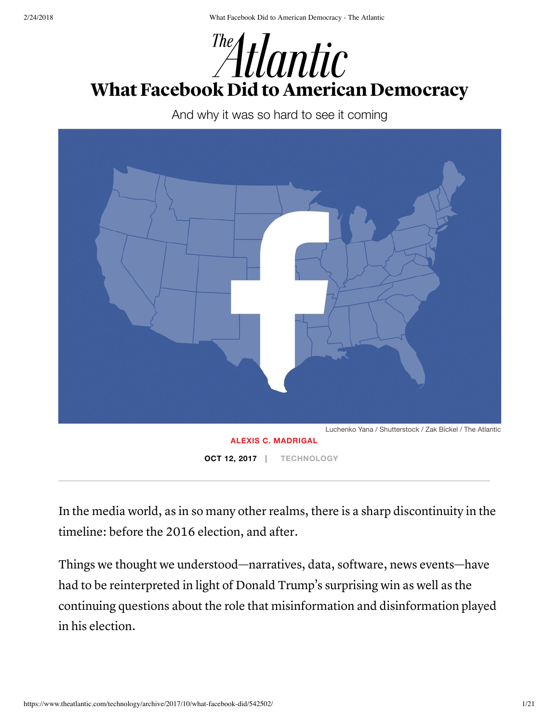

And why it was so hard to see it coming



In the media world, as in so many other realms, there is a sharp discontinuity in the timeline: before the 2016 election, and after.

Things we thought we understood—narratives, data, software, news events—have had to be reinterpreted in light of Donald Trump's surprising win as well as the continuing questions about the role that misinformation and disinformation played in his election.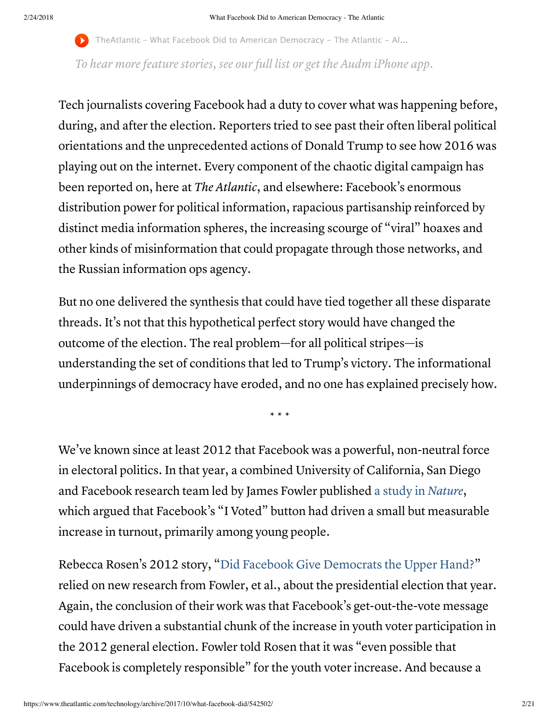TheAtlantic – What Facebook Did to American Democracy – The Atlantic – Al...

To hear more feature stories, see [our](https://www.theatlantic.com/podcasts/audio-articles/?utm_source=audioarticleembed) full list or get the Audm [iPhone](https://goo.gl/ERK95W) app.

Tech journalists covering Facebook had a duty to cover what was happening before, during, and after the election. Reporters tried to see past their often liberal political orientations and the unprecedented actions of Donald Trump to see how 2016 was playing out on the internet. Every component of the chaotic digital campaign has been reported on, here at The Atlantic, and elsewhere: Facebook's enormous distribution power for political information, rapacious partisanship reinforced by distinct media information spheres, the increasing scourge of "viral" hoaxes and other kinds of misinformation that could propagate through those networks, and the Russian information ops agency.

But no one delivered the synthesis that could have tied together all these disparate threads. It's not that this hypothetical perfect story would have changed the outcome of the election. The real problem—for all political stripes—is understanding the set of conditions that led to Trump's victory. The informational underpinnings of democracy have eroded, and no one has explained precisely how.

\* \* \*

We've known since at least 2012 that Facebook was a powerful, non-neutral force in electoral politics. In that year, a combined University of California, San Diego and Facebook research team led by James Fowler published a study in [Nature](https://www.nature.com/articles/nature11421.epdf?referrer_access_token=3hEGlbqHkEuGY21mtWU9ytRgN0jAjWel9jnR3ZoTv0O-9kUewX3bdNdtBQCWYxxxyT1mLWjysh846djISzhdVQ8te60SwiEQkr8UOR_w6foAEMGP1agrQAR91rzU45X9hd7s6U3lIzEIbd35aX7ruNgD1yER8FcGDfCZKhbg6O9VCsEgb3kEZAqVvcbtCbcEZFbuSfvBx75f4RZqlS8DhyQ4yVH7PQ2vxssZZOlc6z5EWL8qXh-xIkjAG_gl0XMoATarImt_N_loxzfUHP134AZ9TGXojQKJCt64RPRMU58%3D&tracking_referrer=www.theatlantic.com), which argued that Facebook's "I Voted" button had driven a small but measurable increase in turnout, primarily among young people.

Rebecca Rosen's 2012 story, "Did Facebook Give [Democrats](https://www.theatlantic.com/technology/archive/2012/11/did-facebook-give-democrats-the-upper-hand/264937/) the Upper Hand?" relied on new research from Fowler, et al., about the presidential election that year. Again, the conclusion of their work was that Facebook's get-out-the-vote message could have driven a substantial chunk of the increase in youth voter participation in the 2012 general election. Fowler told Rosen that it was "even possible that Facebook is completely responsible" for the youth voter increase. And because a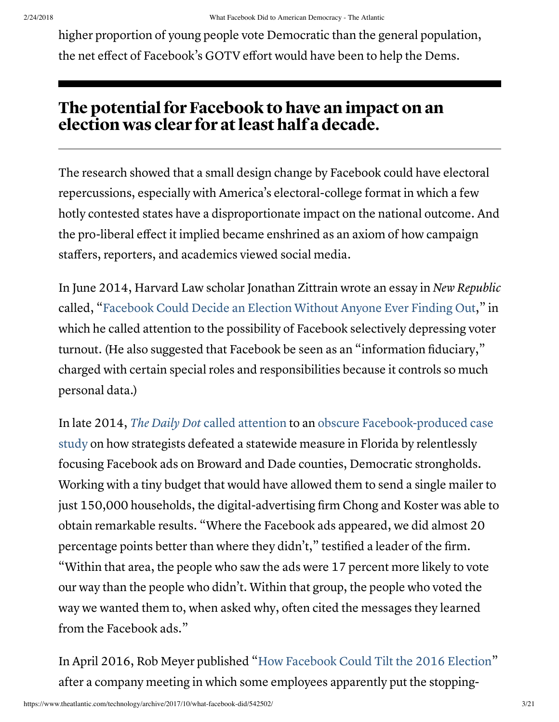higher proportion of young people vote Democratic than the general population, the net effect of Facebook's GOTV effort would have been to help the Dems.

## The potential for Facebook to have an impact on an election was clear for atleast half a decade.

The research showed that a small design change by Facebook could have electoral repercussions, especially with America's electoral-college format in which a few hotly contested states have a disproportionate impact on the national outcome. And the pro-liberal effect it implied became enshrined as an axiom of how campaign staffers, reporters, and academics viewed social media.

In June 2014, Harvard Law scholar Jonathan Zittrain wrote an essay in New Republic called, "Facebook Could Decide an Election Without Anyone Ever [Finding Out](https://newrepublic.com/article/117878/information-fiduciary-solution-facebook-digital-gerrymandering)," in which he called attention to the possibility of Facebook selectively depressing voter turnout. (He also suggested that Facebook be seen as an "information fiduciary," charged with certain special roles and responsibilities because it controls so much personal data.)

In late 2014, The Daily Dot called [attention](https://www.dailydot.com/layer8/facebook-advertising-election-study/) to an obscure [Facebook-produced](https://www.facebook.com/notes/us-politics-on-facebook/case-study-reaching-voters-with-facebook-ads-vote-no-on-8/10150257619200882) case study on how strategists defeated a statewide measure in Florida by relentlessly focusing Facebook ads on Broward and Dade counties, Democratic strongholds. Working with a tiny budget that would have allowed them to send a single mailer to just 150,000 households, the digital-advertising firm Chong and Koster was able to obtain remarkable results. "Where the Facebook ads appeared, we did almost 20 percentage points better than where they didn't," testified a leader of the firm. "Within that area, the people who saw the ads were 17 percent more likely to vote our way than the people who didn't. Within that group, the people who voted the way we wanted them to, when asked why, often cited the messages they learned from the Facebook ads."

In April 2016, Rob Meyer published "How [Facebook](https://www.theatlantic.com/technology/archive/2016/04/how-facebook-could-tilt-the-2016-election-donald-trump/478764/) Could Tilt the 2016 Election" after a company meeting in which some employees apparently put the stopping-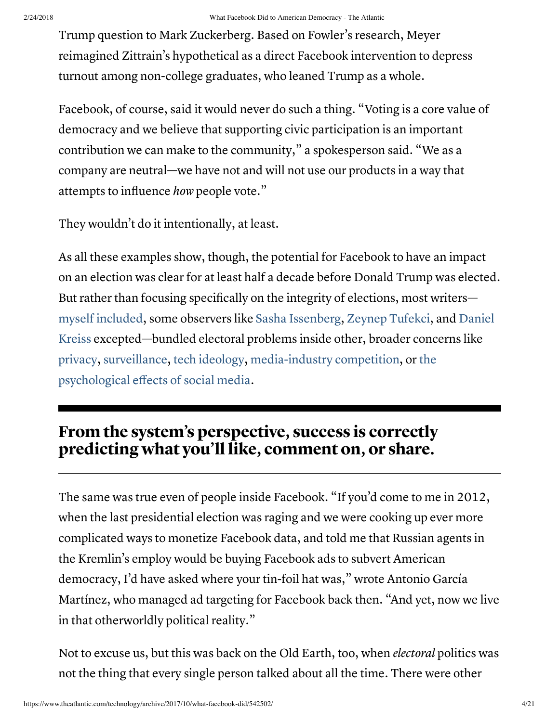Trump question to Mark Zuckerberg. Based on Fowler's research, Meyer reimagined Zittrain's hypothetical as a direct Facebook intervention to depress turnout among non-college graduates, who leaned Trump as a whole.

Facebook, of course, said it would never do such a thing. "Voting is a core value of democracy and we believe that supporting civic participation is an important contribution we can make to the community," a spokesperson said. "We as a company are neutral—we have not and will not use our products in a way that attempts to influence how people vote."

They wouldn't do it intentionally, at least.

As all these examples show, though, the potential for Facebook to have an impact on an election was clear for at least half a decade before Donald Trump was elected. But rather than focusing specifically on the integrity of elections, most writers myself [included,](https://splinternews.com/dark-social-traffic-in-the-mobile-app-era-1793844359) some observers like Sasha [Issenberg](https://www.indiebound.org/book/9780307954800), Zeynep [Tufekci](http://www.nytimes.com/2012/11/17/opinion/beware-the-big-data-campaign.html?auth=login-email), and Daniel Kreiss [excepted—bundled](https://www.indiebound.org/book/9780199350254) electoral problems inside other, broader concerns like [privacy,](https://newrepublic.com/article/117878/information-fiduciary-solution-facebook-digital-gerrymandering) [surveillance](https://arstechnica.com/information-technology/2015/02/surveillance-based-manipulation-how-facebook-or-google-could-tilt-elections/), tech [ideology](https://www.theguardian.com/technology/2013/mar/09/evgeny-morozov-technology-solutionism-interview), [media-industry](https://www.theatlantic.com/technology/archive/2015/10/reclaiming-conversation-sherry-turkle/409273/) competition, or the psychological effects of social media.

## From the system's perspective, success is correctly predicting what you'll like, comment on, or share.

The same was true even of people inside Facebook. "If you'd come to me in 2012, when the last presidential election was raging and we were cooking up ever more complicated ways to monetize Facebook data, and told me that Russian agents in the Kremlin's employ would be buying Facebook ads to subvert American democracy, I'd have asked where your tin-foil hat was," wrote Antonio García Martínez, who managed ad targeting for Facebook back then. "And yet, now we live in that otherworldly political reality."

Not to excuse us, but this was back on the Old Earth, too, when electoral politics was not the thing that every single person talked about all the time. There were other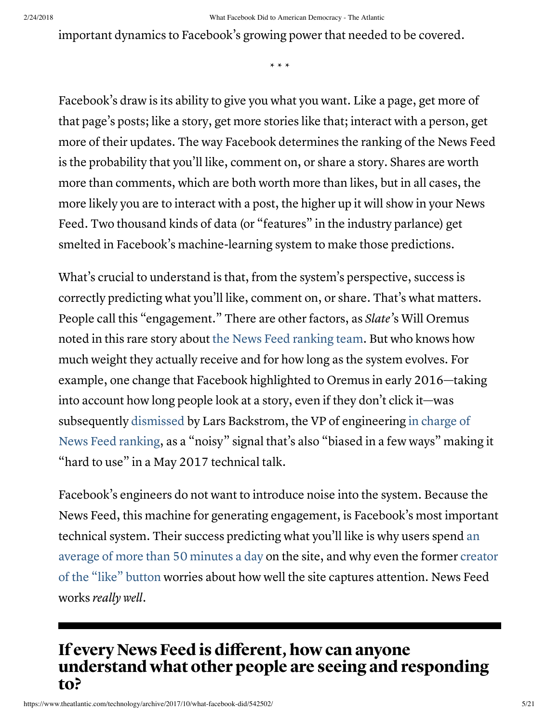important dynamics to Facebook's growing power that needed to be covered.

\* \* \*

Facebook's draw is its ability to give you what you want. Like a page, get more of that page's posts; like a story, get more stories like that; interact with a person, get more of their updates. The way Facebook determines the ranking of the News Feed is the probability that you'll like, comment on, or share a story. Shares are worth more than comments, which are both worth more than likes, but in all cases, the more likely you are to interact with a post, the higher up it will show in your News Feed. Two thousand kinds of data (or "features" in the industry parlance) get smelted in Facebook's machine-learning system to make those predictions.

What's crucial to understand is that, from the system's perspective, success is correctly predicting what you'll like, comment on, or share. That's what matters. People call this "engagement." There are other factors, as Slate's Will Oremus noted in this rare story about the News Feed [ranking team.](http://www.slate.com/articles/technology/cover_story/2016/01/how_facebook_s_news_feed_algorithm_works.html) But who knows how much weight they actually receive and for how long as the system evolves. For example, one change that Facebook highlighted to Oremus in early 2016—taking into account how long people look at a story, even if they don't click it—was subsequently [dismissed](https://www.youtube.com/watch?v=BuE3DIJGWOw) by Lars Backstrom, the VP of [engineering in](https://www.linkedin.com/in/lars-backstrom-862a764/) charge of News Feed ranking, as a "noisy" signal that's also "biased in a few ways" making it "hard to use" in a May 2017 technical talk.

Facebook's engineers do not want to introduce noise into the system. Because the News Feed, this machine for generating engagement, is Facebook's most important technical system. Their success [predicting what](https://www.nytimes.com/2016/05/06/business/facebook-bends-the-rules-of-audience-engagement-to-its-advantage.html) you'll like is why users spend an average of more than 50 minutes a day on the site, and why even the former creator of the "like" button worries about how well the site captures [attention.](https://www.theguardian.com/technology/2017/oct/05/smartphone-addiction-silicon-valley-dystopia) News Feed works really well.

#### If every News Feed is different, how can anyone understand what other people are seeing and responding to?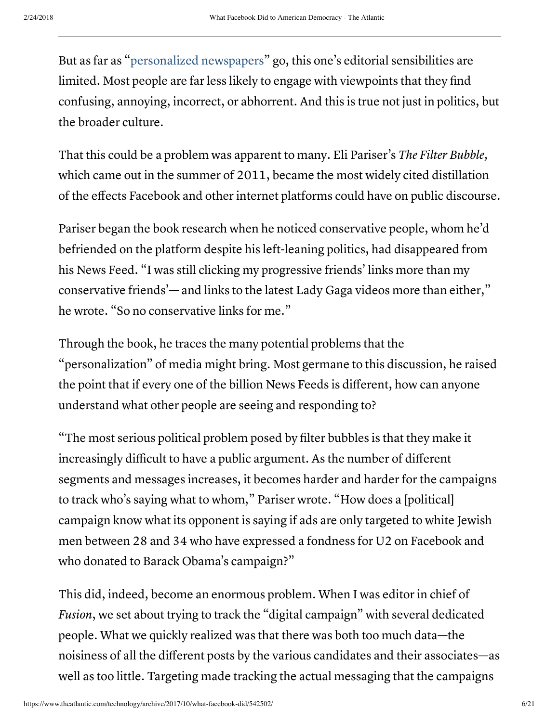But as far as ["personalized](http://www.businessinsider.com/mark-zuckerberg-wants-to-build-a-perfect-personalized-newspaper-2014-11) newspapers" go, this one's editorial sensibilities are limited. Most people are far less likely to engage with viewpoints that they find confusing, annoying, incorrect, or abhorrent. And this is true not just in politics, but the broader culture.

That this could be a problem was apparent to many. Eli Pariser's *The Filter Bubble*, which came out in the summer of 2011, became the most widely cited distillation of the effects Facebook and other internet platforms could have on public discourse.

Pariser began the book research when he noticed conservative people, whom he'd befriended on the platform despite his left-leaning politics, had disappeared from his News Feed. "I was still clicking my progressive friends' links more than my conservative friends'— and links to the latest Lady Gaga videos more than either," he wrote. "So no conservative links for me."

Through the book, he traces the many potential problems that the "personalization" of media might bring. Most germane to this discussion, he raised the point that if every one of the billion News Feeds is different, how can anyone understand what other people are seeing and responding to?

"The most serious political problem posed by filter bubbles is that they make it increasingly difficult to have a public argument. As the number of different segments and messages increases, it becomes harder and harder for the campaigns to track who's saying what to whom," Pariser wrote. "How does a [political] campaign know what its opponent is saying if ads are only targeted to white Jewish men between 28 and 34 who have expressed a fondness for U2 on Facebook and who donated to Barack Obama's campaign?"

This did, indeed, become an enormous problem. When I was editor in chief of Fusion, we set about trying to track the "digital campaign" with several dedicated people. What we quickly realized was that there was both too much data—the noisiness of all the different posts by the various candidates and their associates—as well as too little. Targeting made tracking the actual messaging that the campaigns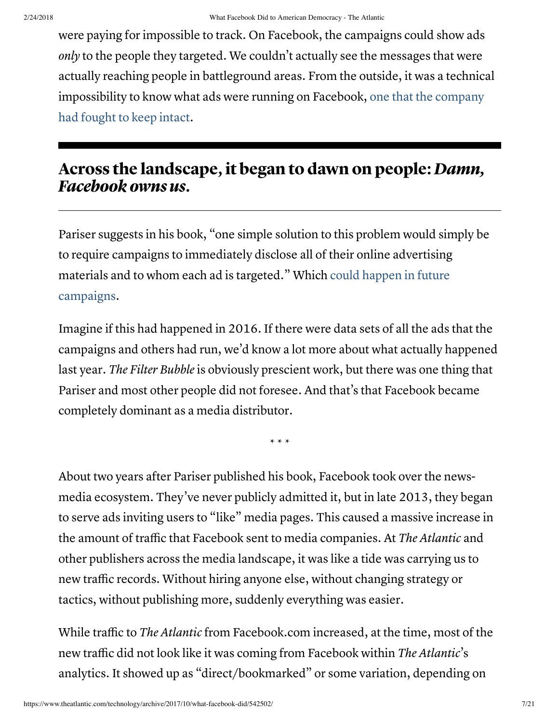were paying for impossible to track. On Facebook, the campaigns could show ads only to the people they targeted. We couldn't actually see the messages that were actually reaching people in battleground areas. From the outside, it was a technical [impossibility](https://www.theverge.com/2017/9/25/16360674/facebook-political-ads-regulation-fec) to know what ads were running on Facebook, one that the company had fought to keep intact.

#### Across the landscape, it began to dawn on people: Damn, Facebook owns us.

Pariser suggests in his book, "one simple solution to this problem would simply be to require campaigns to immediately disclose all of their online advertising materials and to whom each ad is targeted." Which could happen in future [campaigns.](https://www.washingtonpost.com/politics/trump-campaigns-embrace-of-facebook-shows-companys-growing-reach-in-elections/2017/10/08/e5e5f156-a93b-11e7-b3aa-c0e2e1d41e38_story.html?utm_term=.f1842a7b8604)

Imagine if this had happened in 2016. If there were data sets of all the ads that the campaigns and others had run, we'd know a lot more about what actually happened last year. The Filter Bubble is obviously prescient work, but there was one thing that Pariser and most other people did not foresee. And that's that Facebook became completely dominant as a media distributor.

\* \* \*

About two years after Pariser published his book, Facebook took over the newsmedia ecosystem. They've never publicly admitted it, but in late 2013, they began to serve ads inviting users to "like" media pages. This caused a massive increase in the amount of traffic that Facebook sent to media companies. At The Atlantic and other publishers across the media landscape, it was like a tide was carrying us to new traffic records. Without hiring anyone else, without changing strategy or tactics, without publishing more, suddenly everything was easier.

While traffic to The Atlantic from Facebook.com increased, at the time, most of the new traffic did not look like it was coming from Facebook within The Atlantic's analytics. It showed up as "direct/bookmarked" or some variation, depending on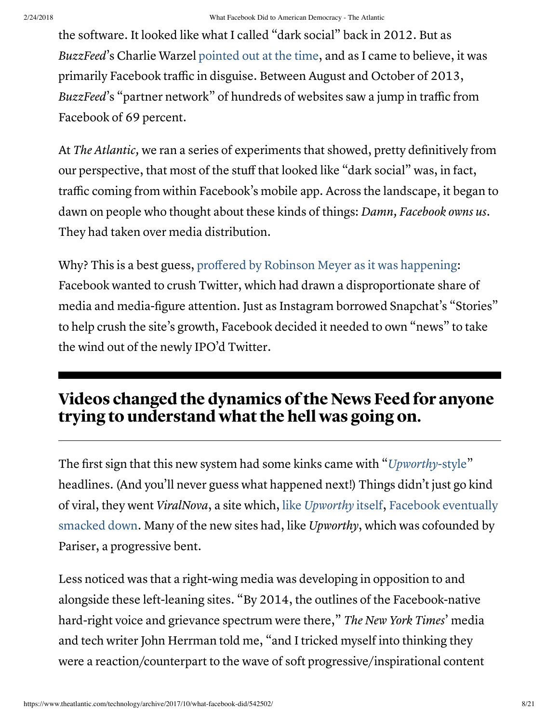the software. It looked like what I called "dark social" back in 2012. But as BuzzFeed's Charlie Warzel [pointed](http://www.buzzfeed.com/charliewarzel/out-of-the-blue-facebook-is-now-driving-enormous-traffic-to) out at the time, and as I came to believe, it was primarily Facebook traffic in disguise. Between August and October of 2013, BuzzFeed's "partner network" of hundreds of websites saw a jump in traffic from Facebook of 69 percent.

At The Atlantic, we ran a series of experiments that showed, pretty definitively from our perspective, that most of the stuff that looked like "dark social" was, in fact, traffic coming from within Facebook's mobile app. Across the landscape, it began to dawn on people who thought about these kinds of things: *Damn*, *Facebook owns us.* They had taken over media distribution.

Why? This is a best guess, proffered by Robinson Meyer as it was [happening:](https://www.theatlantic.com/technology/archive/2013/12/why-are-upworthy-headlines-suddenly-everywhere/282048/) Facebook wanted to crush Twitter, which had drawn a disproportionate share of media and media-figure attention. Just as Instagram borrowed Snapchat's "Stories" to help crush the site's growth, Facebook decided it needed to own "news" to take the wind out of the newly IPO'd Twitter.

# Videos changed the dynamics ofthe News Feed for anyone trying to understand what the hell was going on.

The first sign that this new system had some kinks came with "[Upworthy](https://www.theatlantic.com/technology/archive/2013/12/why-are-upworthy-headlines-suddenly-everywhere/282048/)-style" headlines. (And you'll never guess what happened next!) Things didn't just go kind of viral, they went ViralNova, a site which, like [Upworthy](https://www.theawl.com/2015/06/platform-patched/) itself, Facebook [eventually](https://digiday.com/media/viral-media-complex-cooled/) smacked down. Many of the new sites had, like Upworthy, which was cofounded by Pariser, a progressive bent.

Less noticed was that a right-wing media was developing in opposition to and alongside these left-leaning sites. "By 2014, the outlines of the Facebook-native hard-right voice and grievance spectrum were there," The New York Times' media and tech writer John Herrman told me, "and I tricked myself into thinking they were a reaction/counterpart to the wave of soft progressive/inspirational content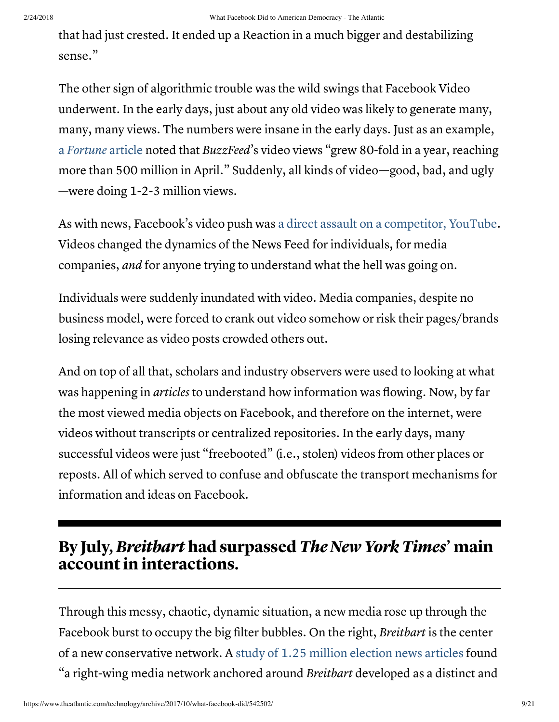#### 2/24/2018 What Facebook Did to American Democracy - The Atlantic

that had just crested. It ended up a Reaction in a much bigger and destabilizing sense."

The other sign of algorithmic trouble was the wild swings that Facebook Video underwent. In the early days, just about any old video was likely to generate many, many, many views. The numbers were insane in the early days. Just as an example, a [Fortune](http://fortune.com/2015/06/03/facebook-video-traffic/) article noted that BuzzFeed's video views "grew 80-fold in a year, reaching more than 500 million in April." Suddenly, all kinds of video—good, bad, and ugly —were doing 1-2-3 million views.

As with news, Facebook's video push was a direct assault on a [competitor,](http://fortune.com/2015/06/03/facebook-video-traffic/) YouTube. Videos changed the dynamics of the News Feed for individuals, for media companies, and for anyone trying to understand what the hell was going on.

Individuals were suddenly inundated with video. Media companies, despite no business model, were forced to crank out video somehow or risk their pages/brands losing relevance as video posts crowded others out.

And on top of all that, scholars and industry observers were used to looking at what was happening in articles to understand how information was flowing. Now, by far the most viewed media objects on Facebook, and therefore on the internet, were videos without transcripts or centralized repositories. In the early days, many successful videos were just "freebooted" (i.e., stolen) videos from other places or reposts. All of which served to confuse and obfuscate the transport mechanisms for information and ideas on Facebook.

## By July, Breitbart had surpassed The New York Times' main account in interactions.

Through this messy, chaotic, dynamic situation, a new media rose up through the Facebook burst to occupy the big filter bubbles. On the right, Breitbart is the center of a new conservative network. A study of 1.25 million [election](https://www.cjr.org/analysis/breitbart-media-trump-harvard-study.php) news articles found "a right-wing media network anchored around Breitbart developed as a distinct and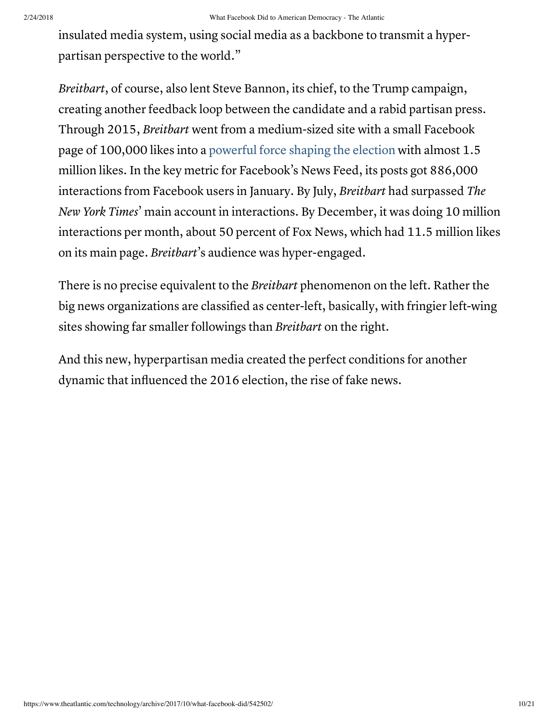insulated media system, using social media as a backbone to transmit a hyperpartisan perspective to the world."

Breitbart, of course, also lent Steve Bannon, its chief, to the Trump campaign, creating another feedback loop between the candidate and a rabid partisan press. Through 2015, Breitbart went from a medium-sized site with a small Facebook page of 100,000 likes into a powerful force [shaping the](https://www.nytimes.com/2016/08/27/business/media/breitbart-news-presidential-race.html) election with almost 1.5 million likes. In the key metric for Facebook's News Feed, its posts got 886,000 interactions from Facebook users in January. By July, Breitbart had surpassed The New York Times' main account in interactions. By December, it was doing 10 million interactions per month, about 50 percent of Fox News, which had 11.5 million likes on its main page. Breitbart's audience was hyper-engaged.

There is no precise equivalent to the *Breitbart* phenomenon on the left. Rather the big news organizations are classified as center-left, basically, with fringier left-wing sites showing far smaller followings than *Breitbart* on the right.

And this new, hyperpartisan media created the perfect conditions for another dynamic that influenced the 2016 election, the rise of fake news.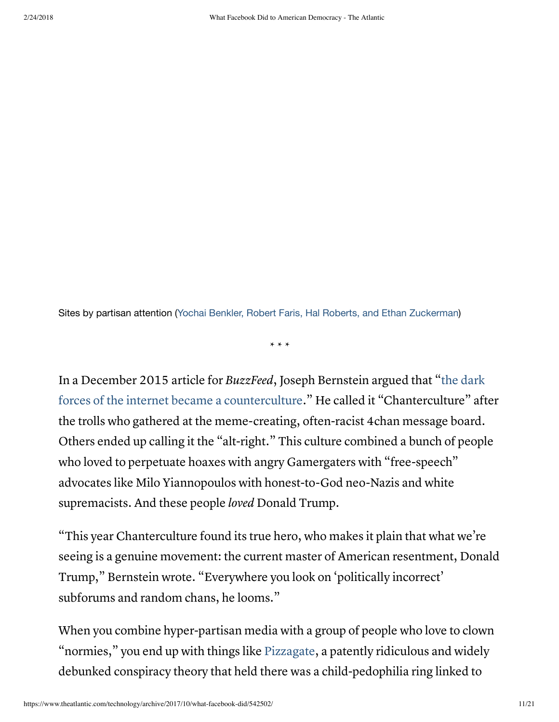Sites by partisan attention (Yochai Benkler, Robert Faris, Hal Roberts, and Ethan [Zuckerman](https://www.cjr.org/author/benkler-faris-roberts-and-zuckerman))

\* \* \*

In a December 2015 article for BuzzFeed, Joseph Bernstein argued that "the dark forces of the internet became a counterculture." He called it ["Chanterculture"](https://www.buzzfeed.com/josephbernstein/in-2015-the-dark-forces-of-the-internet-became-a-countercult?utm_term=.tuDP3Y6WV#.wyoLxg1l7) after the trolls who gathered at the meme-creating, often-racist 4chan message board. Others ended up calling it the "alt-right." This culture combined a bunch of people who loved to perpetuate hoaxes with angry Gamergaters with "free-speech" advocates like Milo Yiannopoulos with honest-to-God neo-Nazis and white supremacists. And these people *loved* Donald Trump.

"This year Chanterculture found its true hero, who makes it plain that what we're seeing is a genuine movement: the current master of American resentment, Donald Trump," Bernstein wrote. "Everywhere you look on 'politically incorrect' subforums and random chans, he looms."

When you combine hyper-partisan media with a group of people who love to clown "normies," you end up with things like [Pizzagate,](https://en.wikipedia.org/wiki/Pizzagate_conspiracy_theory) a patently ridiculous and widely debunked conspiracy theory that held there was a child-pedophilia ring linked to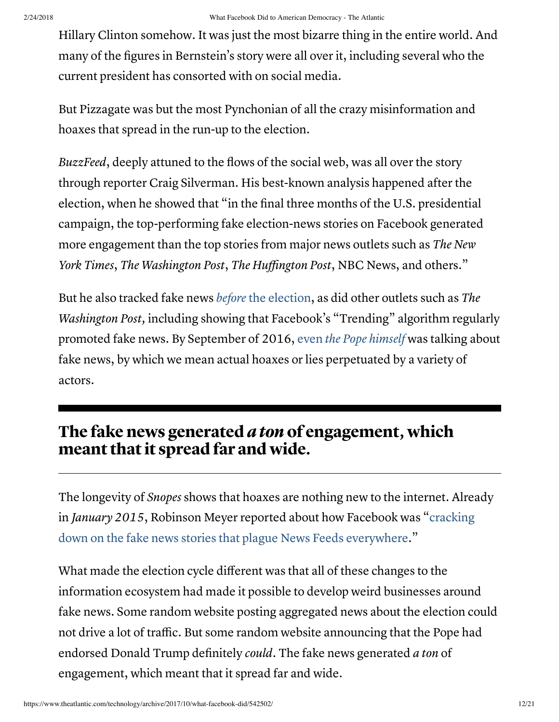Hillary Clinton somehow. It was just the most bizarre thing in the entire world. And many of the figures in Bernstein's story were all over it, including several who the current president has consorted with on social media.

But Pizzagate was but the most Pynchonian of all the crazy misinformation and hoaxes that spread in the run-up to the election.

BuzzFeed, deeply attuned to the flows of the social web, was all over the story through reporter Craig Silverman. His best-known analysis happened after the election, when he showed that "in the final three months of the U.S. presidential campaign, the top-performing fake election-news stories on Facebook generated more engagement than the top stories from major news outlets such as The New York Times, The Washington Post, The Huffington Post, NBC News, and others."

But he also tracked fake news before the [election,](https://www.buzzfeed.com/craigsilverman/can-facebook-trending-fight-off-fake-news?utm_term=.qv8VQJ7wq#.fadKm1WOG) as did other outlets such as The Washington Post, including showing that Facebook's "Trending" algorithm regularly promoted fake news. By September of 2016, even the Pope [himself](http://variety.com/2017/politics/news/pope-francis-fake-news-1202576604/) was talking about fake news, by which we mean actual hoaxes or lies perpetuated by a variety of actors.

### The fake news generated *a ton* of engagement, which meant that it spread far and wide.

The longevity of *Snopes* shows that hoaxes are nothing new to the internet. Already in January 2015, Robinson Meyer reported about how Facebook was "cracking down on the fake news stories that plague News Feeds [everywhere."](https://www.theatlantic.com/technology/archive/2015/01/only-you-can-stop-facebook-hoaxes/384729/)

What made the election cycle different was that all of these changes to the information ecosystem had made it possible to develop weird businesses around fake news. Some random website posting aggregated news about the election could not drive a lot of traffic. But some random website announcing that the Pope had endorsed Donald Trump definitely could. The fake news generated a ton of engagement, which meant that it spread far and wide.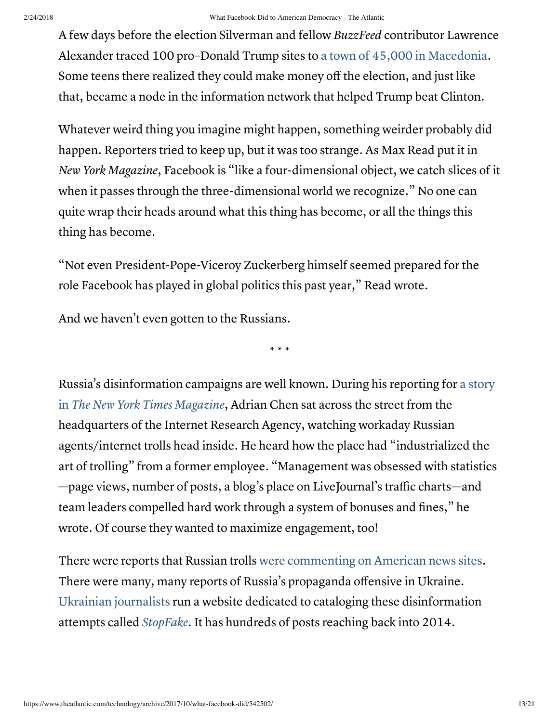#### 2/24/2018 What Facebook Did to American Democracy - The Atlantic

A few days before the election Silverman and fellow BuzzFeed contributor Lawrence Alexander traced 100 pro–Donald Trump sites to a town of 45,000 in [Macedonia](https://www.buzzfeed.com/craigsilverman/how-macedonia-became-a-global-hub-for-pro-trump-misinfo?utm_term=.bnJkJvaqD#.mhnQgzwpx). Some teens there realized they could make money off the election, and just like that, became a node in the information network that helped Trump beat Clinton.

Whatever weird thing you imagine might happen, something weirder probably did happen. Reporters tried to keep up, but it was too strange. As Max Read put it in New York Magazine, Facebook is "like a four-dimensional object, we catch slices of it when it passes through the three-dimensional world we recognize." No one can quite wrap their heads around what this thing has become, or all the things this thing has become.

"Not even President-Pope-Viceroy Zuckerberg himself seemed prepared for the role Facebook has played in global politics this past year," Read wrote.

And we haven't even gotten to the Russians.

\* \* \*

Russia's [disinformation](https://www.nytimes.com/2015/06/07/magazine/the-agency.html?_r=0) campaigns are well known. During his reporting for a story in The New York Times Magazine, Adrian Chen sat across the street from the headquarters of the Internet Research Agency, watching workaday Russian agents/internet trolls head inside. He heard how the place had "industrialized the art of trolling" from a former employee. "Management was obsessed with statistics —page views, number of posts, a blog's place on LiveJournal's traffic charts—and team leaders compelled hard work through a system of bonuses and fines," he wrote. Of course they wanted to maximize engagement, too!

There were reports that Russian trolls were [commenting on](https://www.buzzfeed.com/maxseddon/documents-show-how-russias-troll-army-hit-america?utm_term=.brBqX7JZA#.cgV9QWjy5) American news sites. There were many, many reports of Russia's propaganda offensive in Ukraine. Ukrainian [journalists](http://www.npr.org/2017/08/21/544952989/rough-translation-what-americans-can-learn-from-fake-news-in-ukraine) run a website dedicated to cataloging these disinformation attempts called *[StopFake](https://www.stopfake.org/en/news/)*. It has hundreds of posts reaching back into 2014.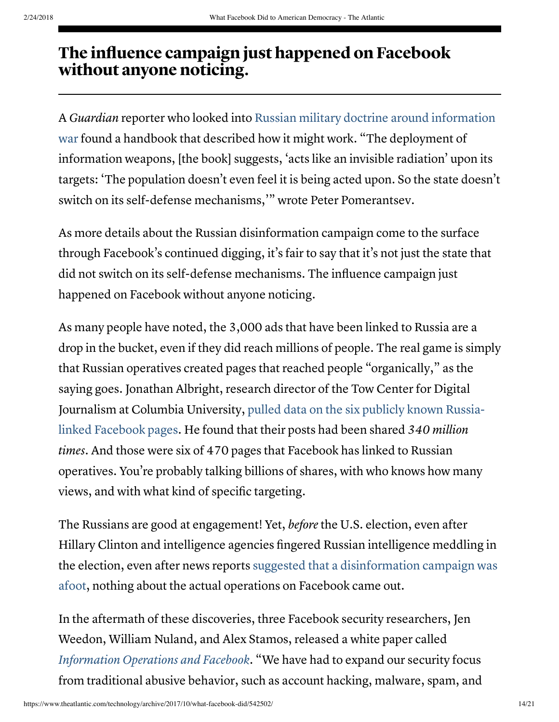# The influence campaign just happened on Facebook without anyone noticing.

A Guardian reporter who looked into Russian military doctrine around [information](https://www.theguardian.com/news/2015/apr/09/kremlin-hall-of-mirrors-military-information-psychology) war found a handbook that described how it might work. "The deployment of information weapons, [the book] suggests, 'acts like an invisible radiation' upon its targets: 'The population doesn't even feel it is being acted upon. So the state doesn't switch on its self-defense mechanisms,'" wrote Peter Pomerantsev.

As more details about the Russian disinformation campaign come to the surface through Facebook's continued digging, it's fair to say that it's not just the state that did not switch on its self-defense mechanisms. The influence campaign just happened on Facebook without anyone noticing.

As many people have noted, the 3,000 ads that have been linked to Russia are a drop in the bucket, even if they did reach millions of people. The real game is simply that Russian operatives created pages that reached people "organically," as the saying goes. Jonathan Albright, research director of the Tow Center for Digital Journalism at Columbia [University,](https://www.washingtonpost.com/news/the-switch/wp/2017/10/05/russian-propaganda-may-have-been-shared-hundreds-of-millions-of-times-new-research-says/?utm_term=.f3e9fad20404) pulled data on the six publicly known Russialinked Facebook pages. He found that their posts had been shared 340 million times. And those were six of 470 pages that Facebook has linked to Russian operatives. You're probably talking billions of shares, with who knows how many views, and with what kind of specific targeting.

The Russians are good at engagement! Yet, *before* the U.S. election, even after Hillary Clinton and intelligence agencies fingered Russian intelligence meddling in the election, even after news reports suggested that a [disinformation](https://www.thedailybeast.com/russias-long-history-of-messing-with-americans-minds-before-the-dnc-hack) campaign was afoot, nothing about the actual operations on Facebook came out.

In the aftermath of these discoveries, three Facebook security researchers, Jen Weedon, William Nuland, and Alex Stamos, released a white paper called [Information](https://fbnewsroomus.files.wordpress.com/2017/04/facebook-and-information-operations-v1.pdf) Operations and Facebook. "We have had to expand our security focus from traditional abusive behavior, such as account hacking, malware, spam, and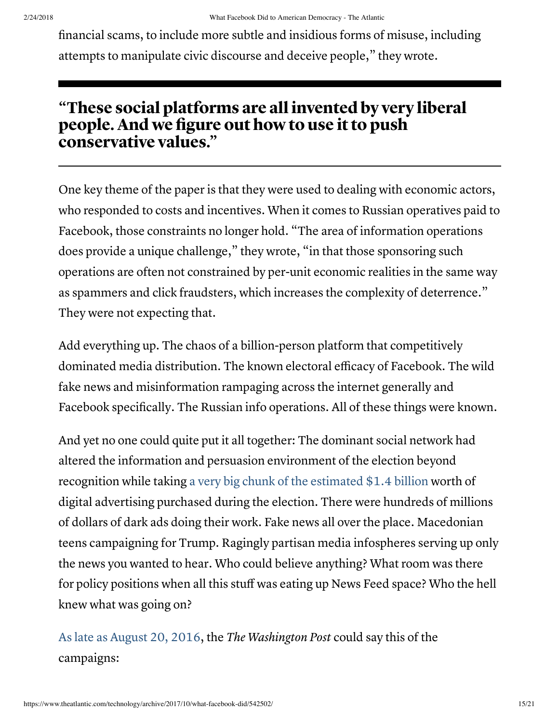financial scams, to include more subtle and insidious forms of misuse, including attempts to manipulate civic discourse and deceive people," they wrote.

#### "These social platforms are all invented by very liberal people. And we figure out how to use it to push conservative values."

One key theme of the paper is that they were used to dealing with economic actors, who responded to costs and incentives. When it comes to Russian operatives paid to Facebook, those constraints no longer hold. "The area of information operations does provide a unique challenge," they wrote, "in that those sponsoring such operations are often not constrained by per-unit economic realities in the same way as spammers and click fraudsters, which increases the complexity of deterrence." They were not expecting that.

Add everything up. The chaos of a billion-person platform that competitively dominated media distribution. The known electoral efficacy of Facebook. The wild fake news and misinformation rampaging across the internet generally and Facebook specifically. The Russian info operations. All of these things were known.

And yet no one could quite put it all together: The dominant social network had altered the information and persuasion environment of the election beyond recognition while taking a very big chunk of the [estimated](https://www.campaignsandelections.com/campaign-insider/digital-ad-spending-tops-estimates) \$1.4 billion worth of digital advertising purchased during the election. There were hundreds of millions of dollars of dark ads doing their work. Fake news all over the place. Macedonian teens campaigning for Trump. Ragingly partisan media infospheres serving up only the news you wanted to hear. Who could believe anything? What room was there for policy positions when all this stuff was eating up News Feed space? Who the hell knew what was going on?

As late as [August](https://www.washingtonpost.com/news/wonk/wp/2016/08/20/why-donald-trumps-1980s-style-campaign-is-struggling-in-2016/) 20, 2016, the The Washington Post could say this of the campaigns: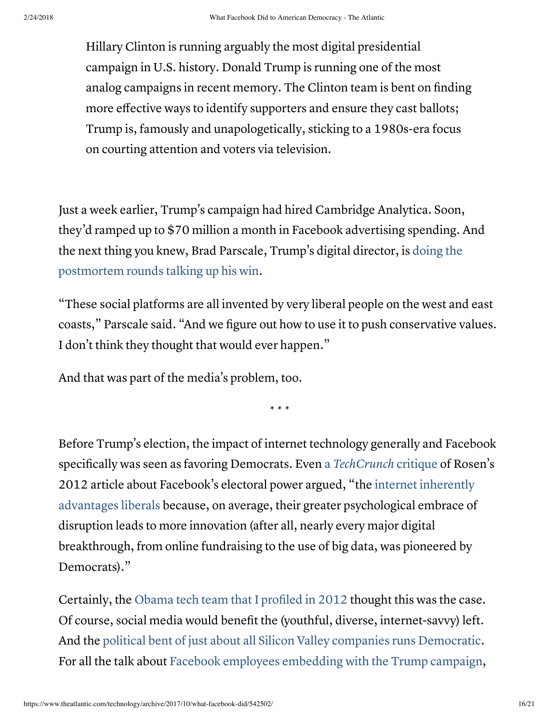Hillary Clinton is running arguably the most digital presidential campaign in U.S. history. Donald Trump is running one of the most analog campaigns in recent memory. The Clinton team is bent on finding more effective ways to identify supporters and ensure they cast ballots; Trump is, famously and unapologetically, sticking to a 1980s-era focus on courting attention and voters via television.

Just a week earlier, Trump's campaign had hired Cambridge Analytica. Soon, they'd ramped up to \$70 million a month in Facebook advertising spending. And the next thing you knew, Brad Parscale, Trump's digital director, is doing the [postmortem](https://www.theguardian.com/technology/2017/oct/08/trump-digital-director-brad-parscale-facebook-advertising) rounds talking up his win.

"These social platforms are all invented by very liberal people on the west and east coasts," Parscale said. "And we figure out how to use it to push conservative values. I don't think they thought that would ever happen."

And that was part of the media's problem, too.

\* \* \*

Before Trump's election, the impact of internet technology generally and Facebook specifically was seen as favoring Democrats. Even a [TechCrunch](https://techcrunch.com/2012/11/11/pre-mature-facebook-election-hype-a-response-to-theatlantic/) critique of Rosen's 2012 article about Facebook's electoral power argued, "the internet inherently advantages liberals because, on average, their greater [psychological](http://www.cnn.com/2010/TECH/web/05/31/liberals.conservatives.online/index.html) embrace of disruption leads to more innovation (after all, nearly every major digital breakthrough, from online fundraising to the use of big data, was pioneered by Democrats)."

Certainly, the Obama tech team that I [profiled](https://www.theatlantic.com/technology/archive/2012/11/when-the-nerds-go-marching-in/265325/) in 2012 thought this was the case. Of course, social media would benefit the (youthful, diverse, internet-savvy) left. And the political bent of just about all Silicon Valley companies runs [Democratic.](https://www.theatlantic.com/technology/archive/2017/08/the-socially-liberal-fiscally-conservative-internet/536967/) For all the talk about Facebook employees [embedding with](https://www.theguardian.com/technology/2017/oct/08/trump-digital-director-brad-parscale-facebook-advertising) the Trump campaign,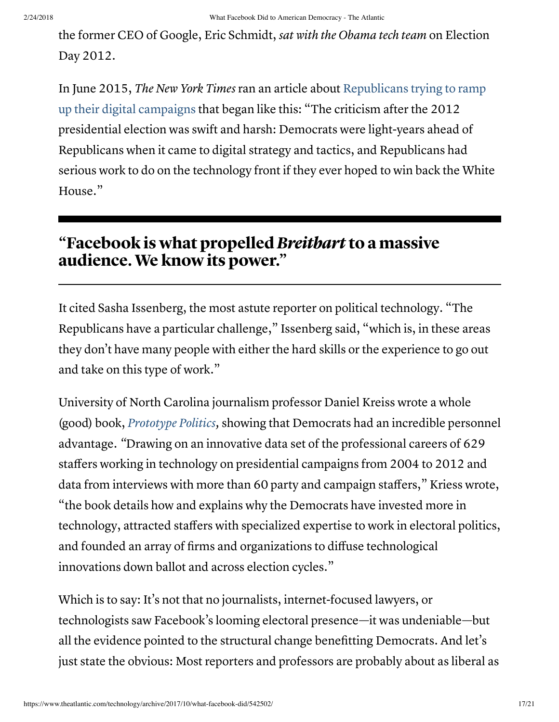the former CEO of Google, Eric Schmidt, sat with the Obama tech team on Election Day 2012.

In June 2015, The New York Times ran an article about [Republicans](https://www.nytimes.com/2015/06/11/us/politics/republicans-still-playing-catch-up-on-the-digital-campaign-trail.html) trying to ramp up their digital campaigns that began like this: "The criticism after the 2012 presidential election was swift and harsh: Democrats were light-years ahead of Republicans when it came to digital strategy and tactics, and Republicans had serious work to do on the technology front if they ever hoped to win back the White House."

### "Facebook is what propelled Breitbart to a massive audience. We know its power."

It cited Sasha Issenberg, the most astute reporter on political technology. "The Republicans have a particular challenge," Issenberg said, "which is, in these areas they don't have many people with either the hard skills or the experience to go out and take on this type of work."

University of North Carolina journalism professor Daniel Kreiss wrote a whole (good) book, [Prototype](https://danielkreiss.com/prototype-politics-2/) Politics, showing that Democrats had an incredible personnel advantage. "Drawing on an innovative data set of the professional careers of 629 staffers working in technology on presidential campaigns from 2004 to 2012 and data from interviews with more than 60 party and campaign staffers," Kriess wrote, "the book details how and explains why the Democrats have invested more in technology, attracted staffers with specialized expertise to work in electoral politics, and founded an array of firms and organizations to diffuse technological innovations down ballot and across election cycles."

Which is to say: It's not that no journalists, internet-focused lawyers, or technologists saw Facebook's looming electoral presence—it was undeniable—but all the evidence pointed to the structural change benefitting Democrats. And let's just state the obvious: Most reporters and professors are probably about as liberal as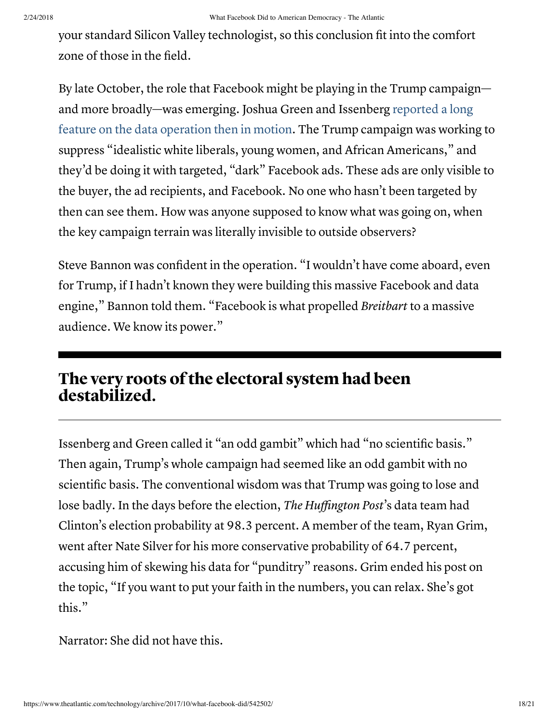your standard Silicon Valley technologist, so this conclusion fit into the comfort zone of those in the field.

By late October, the role that Facebook might be playing in the Trump campaign and more broadly—was emerging. Joshua Green and [Issenberg reported](https://www.bloomberg.com/news/articles/2016-10-27/inside-the-trump-bunker-with-12-days-to-go) a long feature on the data operation then in motion. The Trump campaign was working to suppress "idealistic white liberals, young women, and African Americans," and they'd be doing it with targeted, "dark" Facebook ads. These ads are only visible to the buyer, the ad recipients, and Facebook. No one who hasn't been targeted by then can see them. How was anyone supposed to know what was going on, when the key campaign terrain was literally invisible to outside observers?

Steve Bannon was confident in the operation. "I wouldn't have come aboard, even for Trump, if I hadn't known they were building this massive Facebook and data engine," Bannon told them. "Facebook is what propelled Breitbart to a massive audience. We know its power."

### The very roots of the electoral system had been destabilized.

Issenberg and Green called it "an odd gambit" which had "no scientific basis." Then again, Trump's whole campaign had seemed like an odd gambit with no scientific basis. The conventional wisdom was that Trump was going to lose and lose badly. In the days before the election, The Huffington Post's data team had Clinton's election probability at 98.3 percent. A member of the team, Ryan Grim, went after Nate Silver for his more conservative probability of 64.7 percent, accusing him of skewing his data for "punditry" reasons. Grim ended his post on the topic, "If you want to put your faith in the numbers, you can relax. She's got this."

Narrator: She did not have this.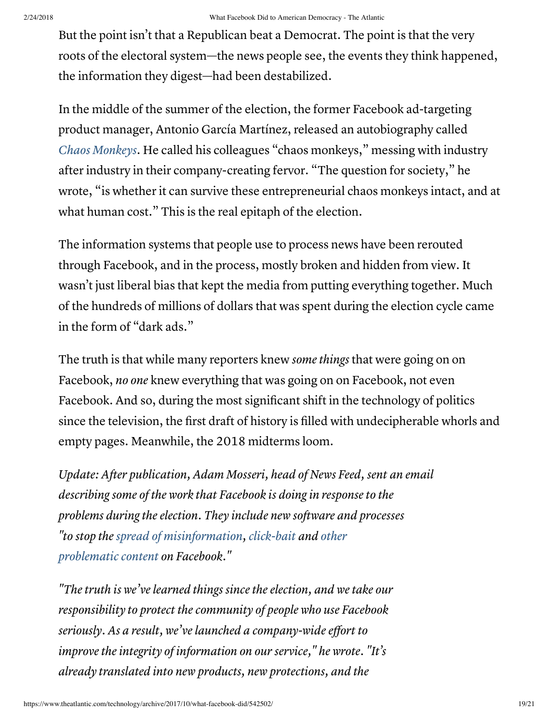But the point isn't that a Republican beat a Democrat. The point is that the very roots of the electoral system—the news people see, the events they think happened, the information they digest—had been destabilized.

In the middle of the summer of the election, the former Facebook ad-targeting product manager, Antonio García Martínez, released an autobiography called Chaos [Monkeys](https://www.indiebound.org/book/9780062458193). He called his colleagues "chaos monkeys," messing with industry after industry in their company-creating fervor. "The question for society," he wrote, "is whether it can survive these entrepreneurial chaos monkeys intact, and at what human cost." This is the real epitaph of the election.

The information systems that people use to process news have been rerouted through Facebook, and in the process, mostly broken and hidden from view. It wasn't just liberal bias that kept the media from putting everything together. Much of the hundreds of millions of dollars that was spent during the election cycle came in the form of "dark ads."

The truth is that while many reporters knew some things that were going on on Facebook, no one knew everything that was going on on Facebook, not even Facebook. And so, during the most significant shift in the technology of politics since the television, the first draft of history is filled with undecipherable whorls and empty pages. Meanwhile, the 2018 midterms loom.

Update: After publication, Adam Mosseri, head of News Feed, sent an email describing some of the work that Facebook is doing in response to the problems during the election. They include new software and processes "to stop the spread of [misinformation,](https://newsroom.fb.com/news/2017/04/working-to-stop-misinformation-and-false-news/) [click-bait](https://newsroom.fb.com/news/2017/05/news-feed-fyi-new-updates-to-reduce-clickbait-headlines/) and [other](https://newsroom.fb.com/news/2017/05/reducing-links-to-low-quality-web-page-experiences/) [problematic](https://newsroom.fb.com/news/2017/08/blocking-ads-from-pages-that-repeatedly-share-false-news/) [content](https://newsroom.fb.com/news/2017/08/news-feed-fyi-addressing-cloaking-so-people-see-more-authentic-posts/) on Facebook."

"The truth is we've learned things since the election, and we take our responsibility to protect the community of people who use Facebook seriously. As a result, we've launched a company-wide effort to improve the integrity of information on our service," he wrote. "It's already translated into new products, new protections, and the